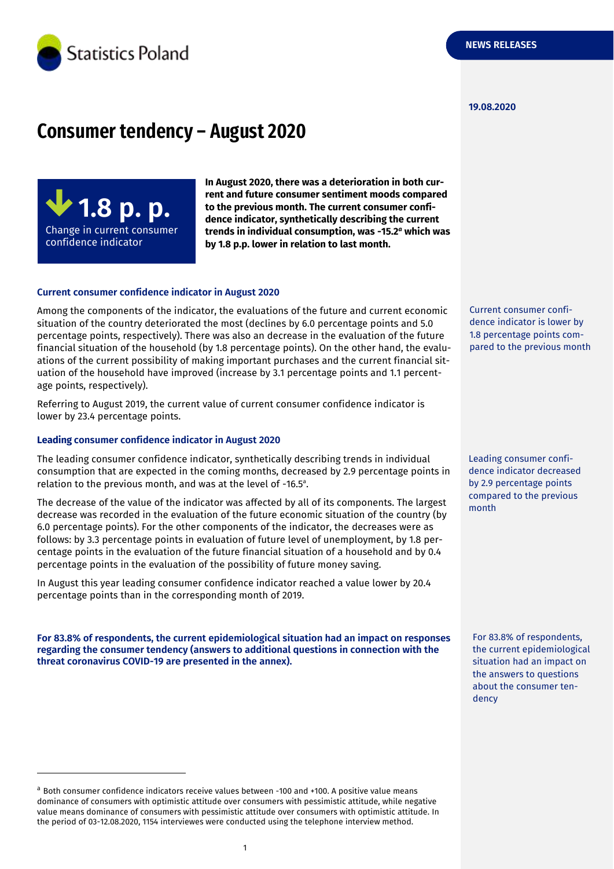

#### **19.08.2020**

## **Consumer tendency – August 2020**

**1.8 p. p.** Change in current consumer confidence indicator

-

**In August 2020, there was a deterioration in both current and future consumer sentiment moods compared to the previous month. The current consumer confidence indicator, synthetically describing the current trends in individual consumption, was -15.2** *<sup>a</sup>* **which was by 1.8 p.p. lower in relation to last month.**

#### **Current consumer confidence indicator in August 2020**

Among the components of the indicator, the evaluations of the future and current economic situation of the country deteriorated the most (declines by 6.0 percentage points and 5.0 percentage points, respectively). There was also an decrease in the evaluation of the future financial situation of the household (by 1.8 percentage points). On the other hand, the evaluations of the current possibility of making important purchases and the current financial situation of the household have improved (increase by 3.1 percentage points and 1.1 percentage points, respectively).

Referring to August 2019, the current value of current consumer confidence indicator is lower by 23.4 percentage points.

#### **Leading consumer confidence indicator in August 2020**

The leading consumer confidence indicator, synthetically describing trends in individual consumption that are expected in the coming months, decreased by 2.9 percentage points in relation to the previous month, and was at the level of -16.5 a .

The decrease of the value of the indicator was affected by all of its components. The largest decrease was recorded in the evaluation of the future economic situation of the country (by 6.0 percentage points). For the other components of the indicator, the decreases were as follows: by 3.3 percentage points in evaluation of future level of unemployment, by 1.8 percentage points in the evaluation of the future financial situation of a household and by 0.4 percentage points in the evaluation of the possibility of future money saving.

In August this year leading consumer confidence indicator reached a value lower by 20.4 percentage points than in the corresponding month of 2019.

**For 83.8% of respondents, the current epidemiological situation had an impact on responses regarding the consumer tendency (answers to additional questions in connection with the threat coronavirus COVID-19 are presented in the annex).**

<sup>a</sup> Both consumer confidence indicators receive values between -100 and +100. A positive value means dominance of consumers with optimistic attitude over consumers with pessimistic attitude, while negative value means dominance of consumers with pessimistic attitude over consumers with optimistic attitude. In the period of 03-12.08.2020, 1154 interviewes were conducted using the telephone interview method.

1

Current consumer confidence indicator is lower by 1.8 percentage points compared to the previous month

Leading consumer confidence indicator decreased by 2.9 percentage points compared to the previous month

For 83.8% of respondents, the current epidemiological situation had an impact on the answers to questions about the consumer tendency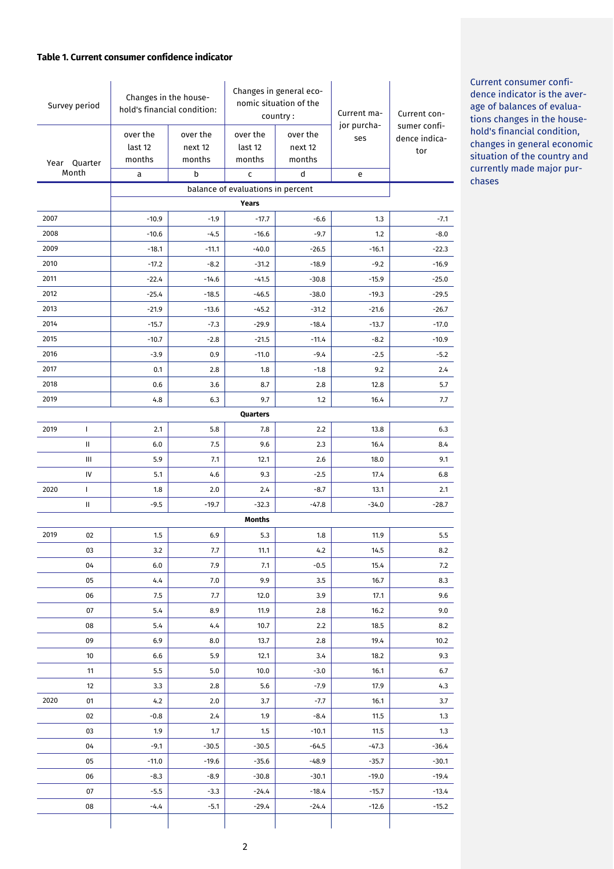#### **Table 1. Current consumer confidence indicator**

| Survey period            |              | Changes in the house-<br>hold's financial condition: |          | Changes in general eco-<br>nomic situation of the<br>country: |          | Current ma-<br>jor purcha- | Current con-<br>sumer confi- |
|--------------------------|--------------|------------------------------------------------------|----------|---------------------------------------------------------------|----------|----------------------------|------------------------------|
|                          |              | over the                                             | over the | over the                                                      | over the | ses                        | dence indica-                |
|                          |              | last 12                                              | next 12  | last 12                                                       | next 12  |                            | tor                          |
| Quarter<br>Year<br>Month |              | months                                               | months   | months                                                        | months   |                            |                              |
|                          |              | a                                                    | b        | c<br>balance of evaluations in percent                        | d        | e                          |                              |
|                          |              |                                                      |          | Years                                                         |          |                            |                              |
| 2007                     |              | $-10.9$                                              | $-1.9$   | $-17.7$                                                       | $-6.6$   | 1.3                        | $-7.1$                       |
| 2008                     |              | $-10.6$                                              | $-4.5$   | $-16.6$                                                       | $-9.7$   | 1.2                        | $-8.0$                       |
| 2009                     |              | $-18.1$                                              | $-11.1$  | $-40.0$                                                       | $-26.5$  | $-16.1$                    | $-22.3$                      |
| 2010                     |              | $-17.2$                                              | $-8.2$   | $-31.2$                                                       | $-18.9$  | $-9.2$                     | $-16.9$                      |
| 2011                     |              | $-22.4$                                              | $-14.6$  | $-41.5$                                                       | $-30.8$  | $-15.9$                    | $-25.0$                      |
| 2012                     |              | $-25.4$                                              | $-18.5$  | $-46.5$                                                       | $-38.0$  | $-19.3$                    | $-29.5$                      |
| 2013                     |              | $-21.9$                                              | $-13.6$  | $-45.2$                                                       | $-31.2$  | $-21.6$                    | $-26.7$                      |
| 2014                     |              | $-15.7$                                              | $-7.3$   | $-29.9$                                                       | $-18.4$  | $-13.7$                    | $-17.0$                      |
| 2015                     |              | $-10.7$                                              | $-2.8$   | $-21.5$                                                       | $-11.4$  | $-8.2$                     | $-10.9$                      |
| 2016                     |              | $-3.9$                                               | 0.9      | $-11.0$                                                       | $-9.4$   | $-2.5$                     | $-5.2$                       |
| 2017                     |              | 0.1                                                  | 2.8      | 1.8                                                           | $-1.8$   | 9.2                        | 2.4                          |
| 2018                     |              | 0.6                                                  | 3.6      | 8.7                                                           | 2.8      | 12.8                       | 5.7                          |
| 2019                     |              | 4.8                                                  | 6.3      | 9.7                                                           | 1.2      | 16.4                       | 7.7                          |
|                          |              |                                                      |          | Quarters                                                      |          |                            |                              |
| 2019                     | $\mathbf{I}$ | 2.1                                                  | 5.8      | 7.8                                                           | 2.2      | 13.8                       | 6.3                          |
|                          | Ш            | 6.0                                                  | 7.5      | 9.6                                                           | 2.3      | 16.4                       | 8.4                          |
|                          | Ш            | 5.9                                                  | 7.1      | 12.1                                                          | 2.6      | 18.0                       | 9.1                          |
|                          | IV           | 5.1                                                  | 4.6      | 9.3                                                           | $-2.5$   | 17.4                       | 6.8                          |
| 2020                     | $\mathbf{I}$ | 1.8                                                  | 2.0      | 2.4                                                           | $-8.7$   | 13.1                       | 2.1                          |
|                          | Ш            | $-9.5$                                               | $-19.7$  | $-32.3$                                                       | $-47.8$  | $-34.0$                    | $-28.7$                      |
|                          |              |                                                      |          | <b>Months</b>                                                 |          |                            |                              |
| 2019                     | 02           | 1.5                                                  | 6.9      | 5.3                                                           | 1.8      | 11.9                       | 5.5                          |
|                          | 03           | 3.2                                                  | 7.7      | 11.1                                                          | 4.2      | 14.5                       | 8.2                          |
|                          | 04           | 6.0                                                  | 7.9      | 7.1                                                           | $-0.5$   | 15.4                       | 7.2                          |
|                          | 05           | 4.4                                                  | 7.0      | 9.9                                                           | 3.5      | 16.7                       | 8.3                          |
|                          | 06           | 7.5                                                  | 7.7      | 12.0                                                          | 3.9      | 17.1                       | 9.6                          |
|                          | 07           | 5.4                                                  | 8.9      | 11.9                                                          | 2.8      | 16.2                       | 9.0                          |
|                          | 08           | 5.4                                                  | 4.4      | 10.7                                                          | 2.2      | 18.5                       | 8.2                          |
|                          | 09           | 6.9                                                  | 8.0      | 13.7                                                          | 2.8      | 19.4                       | 10.2                         |
|                          | 10           | 6.6                                                  | 5.9      | 12.1                                                          | 3.4      | 18.2                       | 9.3                          |
|                          | 11           | 5.5                                                  | 5.0      | 10.0                                                          | $-3.0$   | 16.1                       | 6.7                          |
|                          | 12           | 3.3                                                  | 2.8      | 5.6                                                           | $-7.9$   | 17.9                       | 4.3                          |
| 2020                     | 01           | 4.2                                                  | 2.0      | 3.7                                                           | $-7.7$   | 16.1                       | 3.7                          |
|                          | 02           | $-0.8$                                               | 2.4      | 1.9                                                           | $-8.4$   | 11.5                       | 1.3                          |
|                          | 03           | 1.9                                                  | $1.7\,$  | 1.5                                                           | $-10.1$  | 11.5                       | 1.3                          |
|                          | 04           | $-9.1$                                               | $-30.5$  | $-30.5$                                                       | $-64.5$  | $-47.3$                    | $-36.4$                      |
|                          | 05           | $-11.0$                                              | $-19.6$  | $-35.6$                                                       | $-48.9$  | $-35.7$                    | $-30.1$                      |
|                          | 06           | $-8.3$                                               | $-8.9$   | $-30.8$                                                       | $-30.1$  | $-19.0$                    | $-19.4$                      |
|                          | 07           | $-5.5$                                               | $-3.3$   | $-24.4$                                                       | $-18.4$  | $-15.7$                    | $-13.4$                      |
|                          | 08           | $-4.4$                                               | $-5.1$   | $-29.4$                                                       | $-24.4$  | $-12.6$                    | $-15.2$                      |
|                          |              |                                                      |          |                                                               |          |                            |                              |

Current consumer confidence indicator is the average of balances of evaluations changes in the household's financial condition, changes in general economic situation of the country and currently made major purchases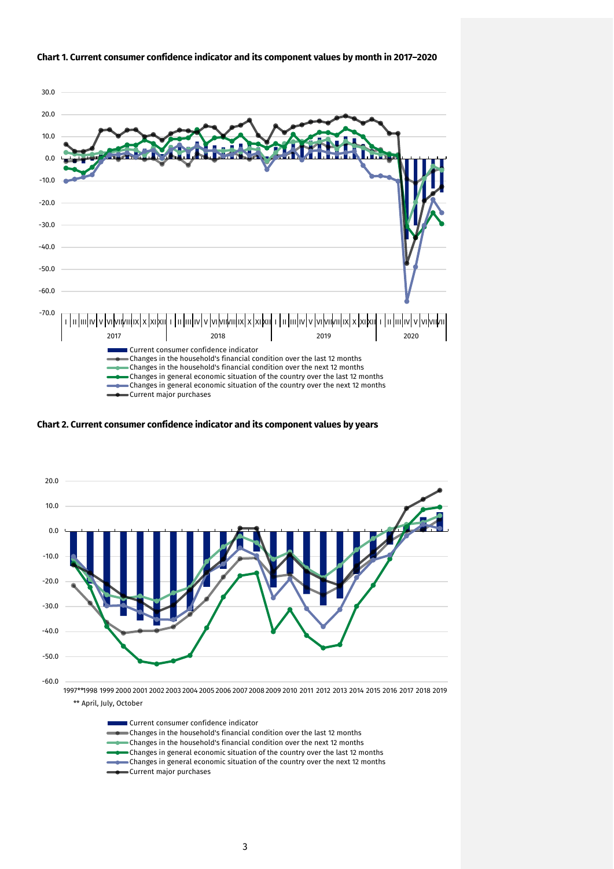

#### **Chart 1. Current consumer confidence indicator and its component values by month in 2017–2020**

**Chart 2. Current consumer confidence indicator and its component values by years**



Current consumer confidence indicator Changes in the household's financial condition over the last 12 months Changes in the household's financial condition over the next 12 months Changes in general economic situation of the country over the last 12 months Changes in general economic situation of the country over the next 12 months Current major purchases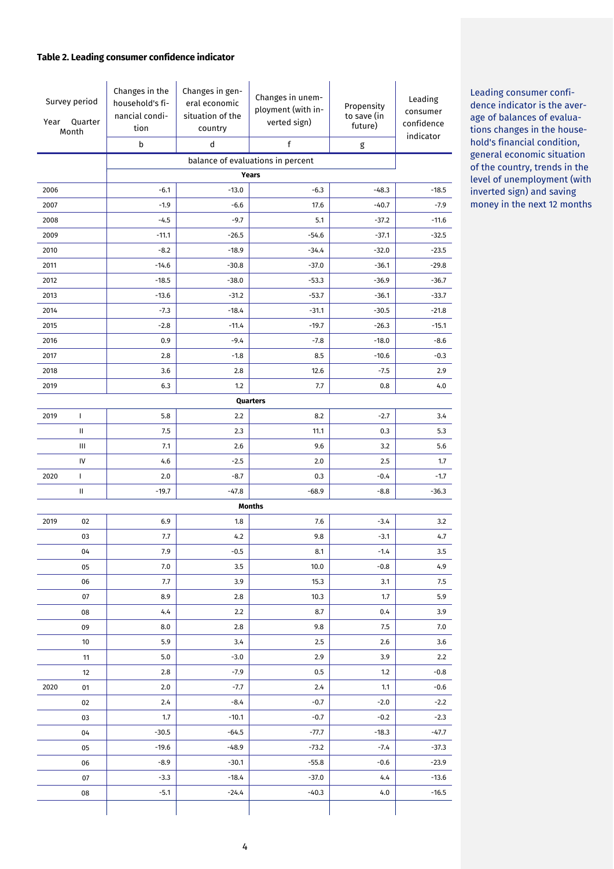#### **Table 2. Leading consumer confidence indicator**

| Survey period<br>Quarter<br>Year<br>Month |                             | Changes in the<br>household's fi-<br>nancial condi-<br>tion<br>b | Changes in gen-<br>eral economic<br>situation of the<br>country<br>d | Changes in unem-<br>ployment (with in-<br>verted sign)<br>f | Propensity<br>to save (in<br>future) | Leading<br>consumer<br>confidence<br>indicator |  |  |  |
|-------------------------------------------|-----------------------------|------------------------------------------------------------------|----------------------------------------------------------------------|-------------------------------------------------------------|--------------------------------------|------------------------------------------------|--|--|--|
|                                           |                             |                                                                  |                                                                      | g<br>balance of evaluations in percent                      |                                      |                                                |  |  |  |
|                                           | <b>Years</b>                |                                                                  |                                                                      |                                                             |                                      |                                                |  |  |  |
| 2006                                      |                             | $-6.1$                                                           | $-13.0$                                                              | $-6.3$                                                      | $-48.3$                              | $-18.5$                                        |  |  |  |
| 2007                                      |                             | $-1.9$                                                           | $-6.6$                                                               | 17.6                                                        | $-40.7$                              | $-7.9$                                         |  |  |  |
| 2008                                      |                             | $-4.5$                                                           | $-9.7$                                                               | 5.1                                                         | $-37.2$                              | $-11.6$                                        |  |  |  |
| 2009                                      |                             | $-11.1$                                                          | $-26.5$                                                              | $-54.6$                                                     | $-37.1$                              | $-32.5$                                        |  |  |  |
| 2010                                      |                             | $-8.2$                                                           | $-18.9$                                                              | $-34.4$                                                     | $-32.0$                              | $-23.5$                                        |  |  |  |
| 2011                                      |                             | $-14.6$                                                          | $-30.8$                                                              | $-37.0$                                                     | $-36.1$                              | $-29.8$                                        |  |  |  |
| 2012                                      |                             | $-18.5$                                                          | $-38.0$                                                              | $-53.3$                                                     | $-36.9$                              | $-36.7$                                        |  |  |  |
| 2013                                      |                             | $-13.6$                                                          | $-31.2$                                                              | $-53.7$                                                     | $-36.1$                              | $-33.7$                                        |  |  |  |
| 2014                                      |                             | $-7.3$                                                           | $-18.4$                                                              | $-31.1$                                                     | $-30.5$                              | $-21.8$                                        |  |  |  |
| 2015                                      |                             | $-2.8$                                                           | $-11.4$                                                              | $-19.7$                                                     | $-26.3$                              | $-15.1$                                        |  |  |  |
| 2016                                      |                             | 0.9                                                              | $-9.4$                                                               | $-7.8$                                                      | $-18.0$                              | $-8.6$                                         |  |  |  |
| 2017                                      |                             | 2.8                                                              | $-1.8$                                                               | 8.5                                                         | $-10.6$                              | $-0.3$                                         |  |  |  |
| 2018                                      |                             | 3.6                                                              | 2.8                                                                  | 12.6                                                        | $-7.5$                               | 2.9                                            |  |  |  |
| 2019                                      |                             | 6.3                                                              | 1.2                                                                  | 7.7                                                         | 0.8                                  | 4.0                                            |  |  |  |
|                                           |                             |                                                                  |                                                                      | Quarters                                                    |                                      |                                                |  |  |  |
| 2019                                      | $\mathbf{I}$                | 5.8                                                              | 2.2                                                                  | 8.2                                                         | $-2.7$                               | 3.4                                            |  |  |  |
|                                           | $\mathbf{H}$                | 7.5                                                              | 2.3                                                                  | 11.1                                                        | 0.3                                  | 5.3                                            |  |  |  |
|                                           | Ш                           | 7.1                                                              | 2.6                                                                  | 9.6                                                         | 3.2                                  | 5.6                                            |  |  |  |
|                                           | IV                          | 4.6                                                              | $-2.5$                                                               | 2.0                                                         | 2.5                                  | 1.7                                            |  |  |  |
| 2020                                      | $\mathbf{I}$                | 2.0                                                              | $-8.7$                                                               | 0.3                                                         | $-0.4$                               | $-1.7$                                         |  |  |  |
|                                           | Ш                           | $-19.7$                                                          | $-47.8$                                                              | $-68.9$                                                     | $-8.8$                               | $-36.3$                                        |  |  |  |
| 2019                                      | <b>Months</b><br>6.9<br>7.6 |                                                                  |                                                                      |                                                             |                                      | 3.2                                            |  |  |  |
|                                           | 02<br>03                    | $7.7\,$                                                          | 1.8<br>4.2                                                           | $9.8\,$                                                     | $-3.4$<br>$-3.1$                     | 4.7                                            |  |  |  |
|                                           | 04                          | 7.9                                                              | $-0.5$                                                               | 8.1                                                         | $-1.4$                               | 3.5                                            |  |  |  |
|                                           | 05                          | 7.0                                                              | 3.5                                                                  | 10.0                                                        | $-0.8$                               | 4.9                                            |  |  |  |
|                                           | 06                          | 7.7                                                              | 3.9                                                                  | 15.3                                                        | 3.1                                  | 7.5                                            |  |  |  |
|                                           | 07                          | 8.9                                                              | 2.8                                                                  | 10.3                                                        | 1.7                                  | 5.9                                            |  |  |  |
|                                           | 08                          | 4.4                                                              | 2.2                                                                  | 8.7                                                         | 0.4                                  | 3.9                                            |  |  |  |
|                                           | 09                          | 8.0                                                              | 2.8                                                                  | 9.8                                                         | 7.5                                  | 7.0                                            |  |  |  |
|                                           | 10                          | 5.9                                                              | 3.4                                                                  | 2.5                                                         | 2.6                                  | 3.6                                            |  |  |  |
|                                           | 11                          | 5.0                                                              | $-3.0$                                                               | 2.9                                                         | 3.9                                  | 2.2                                            |  |  |  |
|                                           | 12                          | 2.8                                                              | $-7.9$                                                               | 0.5                                                         | 1.2                                  | $-0.8$                                         |  |  |  |
| 2020                                      | 01                          | 2.0                                                              | $-7.7$                                                               | 2.4                                                         | 1.1                                  | $-0.6$                                         |  |  |  |
|                                           | 02                          | 2.4                                                              | $-8.4$                                                               | $-0.7$                                                      | $-2.0$                               | $-2.2$                                         |  |  |  |
|                                           | 03                          | 1.7                                                              | $-10.1$                                                              | $-0.7$                                                      | $-0.2$                               | $-2.3$                                         |  |  |  |
|                                           | 04                          | $-30.5$                                                          | $-64.5$                                                              | -77.7                                                       | $-18.3$                              | $-47.7$                                        |  |  |  |
|                                           | 05                          | $-19.6$                                                          | $-48.9$                                                              | $-73.2$                                                     | $-7.4$                               | $-37.3$                                        |  |  |  |
|                                           | 06                          | $-8.9$                                                           | $-30.1$                                                              | $-55.8$                                                     | $-0.6$                               | $-23.9$                                        |  |  |  |
|                                           | 07                          | $-3.3$                                                           | $-18.4$                                                              | $-37.0$                                                     | 4,4                                  | $-13.6$                                        |  |  |  |
|                                           | 08                          | $-5.1$                                                           | $-24.4$                                                              | $-40.3$                                                     | 4.0                                  | $-16.5$                                        |  |  |  |
|                                           |                             |                                                                  |                                                                      |                                                             |                                      |                                                |  |  |  |

Leading consumer confidence indicator is the average of balances of evaluations changes in the household's financial condition, general economic situation of the country, trends in the level of unemployment (with inverted sign) and saving money in the next 12 months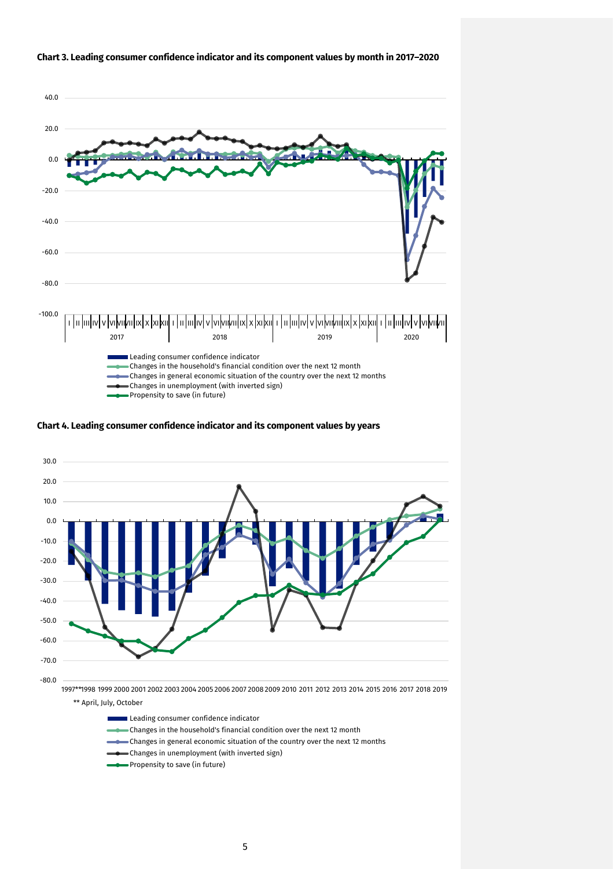

#### **Chart 3. Leading consumer confidence indicator and its component values by month in 2017–2020**





\*\* April, July, October

- Leading consumer confidence indicator
- Changes in the household's financial condition over the next 12 month
- Changes in general economic situation of the country over the next 12 months
- Changes in unemployment (with inverted sign)
- Propensity to save (in future)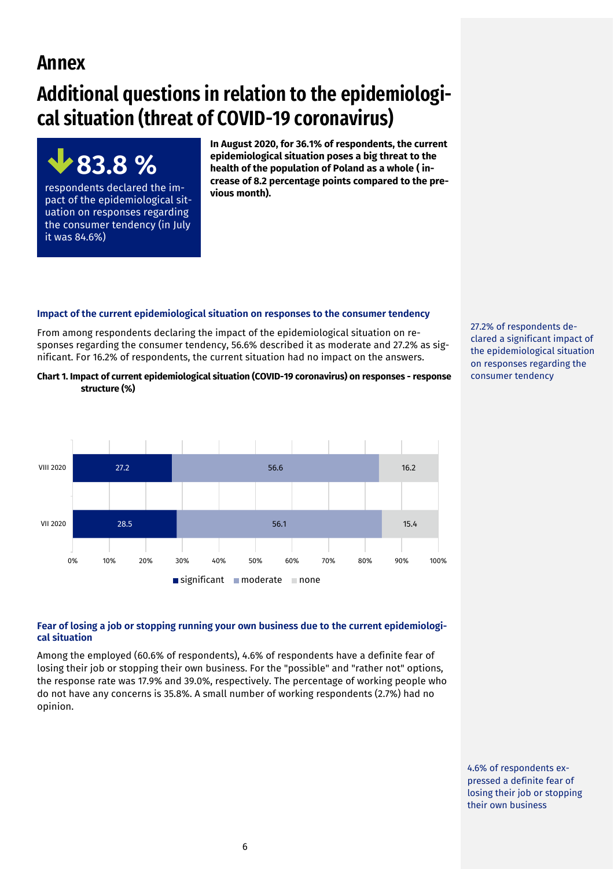## **Annex**

it was 84.6%)

**83.8 %** 

respondents declared the impact of the epidemiological situation on responses regarding the consumer tendency (in July

# **Additional questions in relation to the epidemiological situation (threat of COVID-19 coronavirus)**

**In August 2020, for 36.1% of respondents, the current epidemiological situation poses a big threat to the health of the population of Poland as a whole ( increase of 8.2 percentage points compared to the previous month).** 

#### **Impact of the current epidemiological situation on responses to the consumer tendency**

From among respondents declaring the impact of the epidemiological situation on responses regarding the consumer tendency, 56.6% described it as moderate and 27.2% as significant. For 16.2% of respondents, the current situation had no impact on the answers.

**Chart 1. Impact of current epidemiological situation (COVID-19 coronavirus) on responses - response structure (%)**



#### **Fear of losing a job or stopping running your own business due to the current epidemiological situation**

Among the employed (60.6% of respondents), 4.6% of respondents have a definite fear of losing their job or stopping their own business. For the "possible" and "rather not" options, the response rate was 17.9% and 39.0%, respectively. The percentage of working people who do not have any concerns is 35.8%. A small number of working respondents (2.7%) had no opinion.

27.2% of respondents declared a significant impact of the epidemiological situation on responses regarding the consumer tendency

4.6% of respondents expressed a definite fear of losing their job or stopping their own business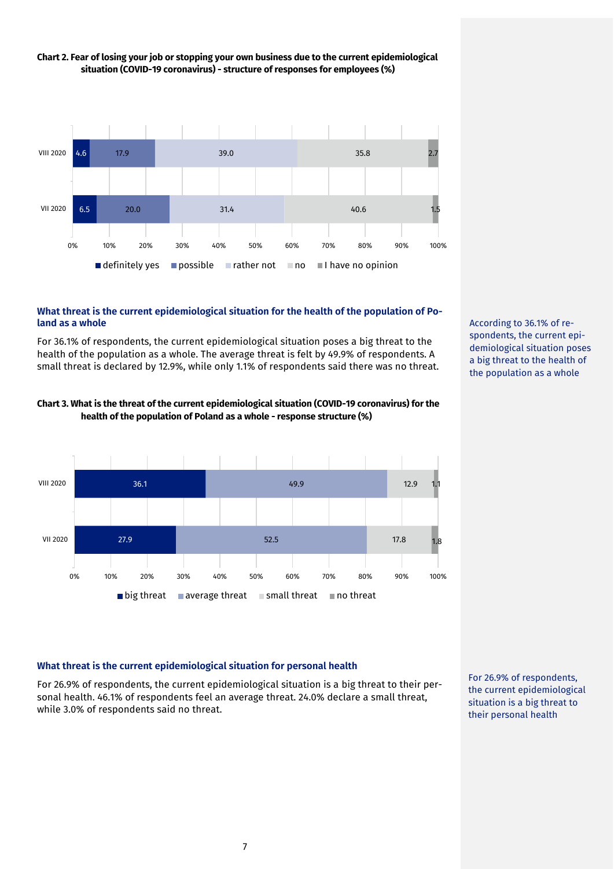

## **Chart 2. Fear of losing your job or stopping your own business due to the current epidemiological situation (COVID-19 coronavirus) - structure of responses for employees (%)**

## **What threat is the current epidemiological situation for the health of the population of Poland as a whole**

For 36.1% of respondents, the current epidemiological situation poses a big threat to the health of the population as a whole. The average threat is felt by 49.9% of respondents. A small threat is declared by 12.9%, while only 1.1% of respondents said there was no threat.





According to 36.1% of respondents, the current epidemiological situation poses a big threat to the health of the population as a whole

## **What threat is the current epidemiological situation for personal health**

For 26.9% of respondents, the current epidemiological situation is a big threat to their personal health. 46.1% of respondents feel an average threat. 24.0% declare a small threat, while 3.0% of respondents said no threat.

For 26.9% of respondents, the current epidemiological situation is a big threat to their personal health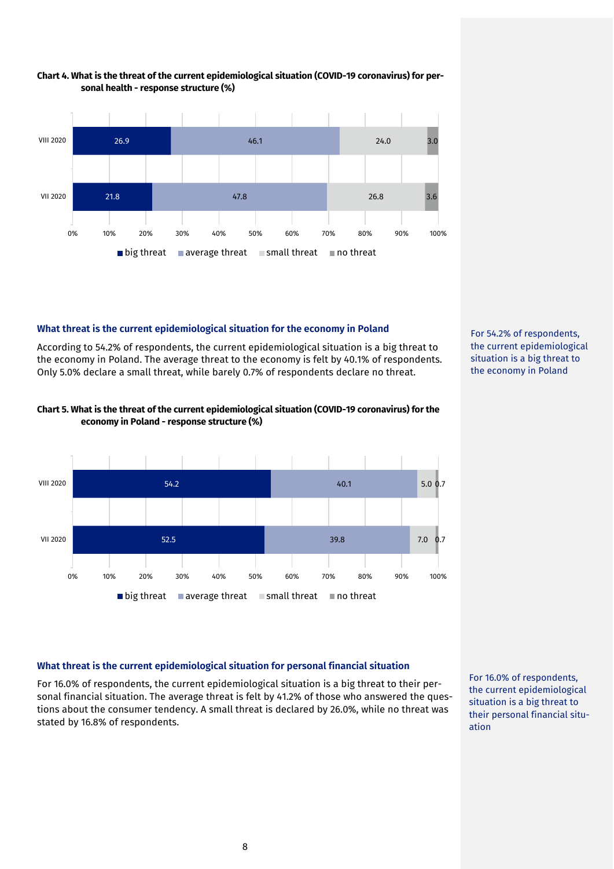

#### **Chart 4. What is the threat of the current epidemiological situation (COVID-19 coronavirus) for personal health - response structure (%)**

## **What threat is the current epidemiological situation for the economy in Poland**

According to 54.2% of respondents, the current epidemiological situation is a big threat to the economy in Poland. The average threat to the economy is felt by 40.1% of respondents. Only 5.0% declare a small threat, while barely 0.7% of respondents declare no threat.



#### **Chart 5. What is the threat of the current epidemiological situation (COVID-19 coronavirus) for the economy in Poland - response structure (%)**



## **What threat is the current epidemiological situation for personal financial situation**

For 16.0% of respondents, the current epidemiological situation is a big threat to their personal financial situation. The average threat is felt by 41.2% of those who answered the questions about the consumer tendency. A small threat is declared by 26.0%, while no threat was stated by 16.8% of respondents.

For 16.0% of respondents, the current epidemiological situation is a big threat to their personal financial situation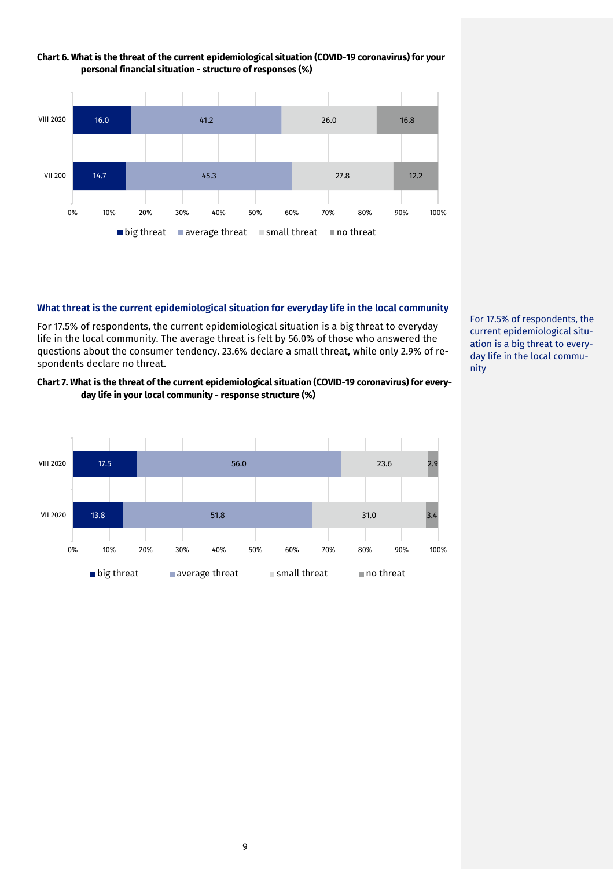



## **What threat is the current epidemiological situation for everyday life in the local community**

For 17.5% of respondents, the current epidemiological situation is a big threat to everyday life in the local community. The average threat is felt by 56.0% of those who answered the questions about the consumer tendency. 23.6% declare a small threat, while only 2.9% of respondents declare no threat.

#### **Chart 7. What is the threat of the current epidemiological situation (COVID-19 coronavirus) for everyday life in your local community - response structure (%)**



For 17.5% of respondents, the current epidemiological situation is a big threat to everyday life in the local community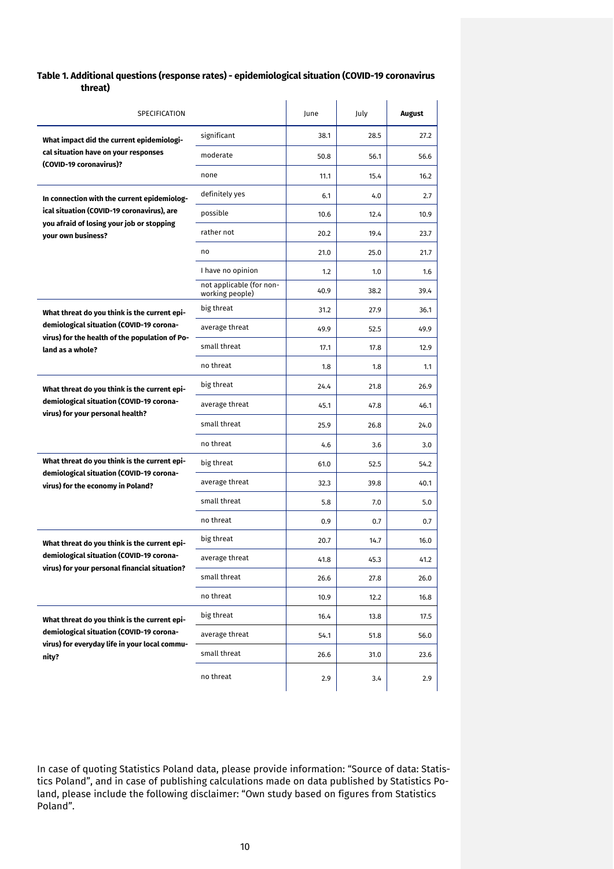#### **Table 1. Additional questions (response rates) - epidemiological situation (COVID-19 coronavirus threat)**

| SPECIFICATION                                                                              |                                             | June | July | August |
|--------------------------------------------------------------------------------------------|---------------------------------------------|------|------|--------|
| What impact did the current epidemiologi-                                                  | significant                                 | 38.1 | 28.5 | 27.2   |
| cal situation have on your responses                                                       | moderate                                    | 50.8 | 56.1 | 56.6   |
| (COVID-19 coronavirus)?                                                                    | none                                        | 11.1 | 15.4 | 16.2   |
| In connection with the current epidemiolog-                                                | definitely yes                              | 6.1  | 4.0  | 2.7    |
| ical situation (COVID-19 coronavirus), are                                                 | possible                                    | 10.6 | 12.4 | 10.9   |
| you afraid of losing your job or stopping<br>your own business?                            | rather not                                  | 20.2 | 19.4 | 23.7   |
|                                                                                            | no                                          | 21.0 | 25.0 | 21.7   |
|                                                                                            | I have no opinion                           | 1.2  | 1.0  | 1.6    |
|                                                                                            | not applicable (for non-<br>working people) | 40.9 | 38.2 | 39.4   |
| What threat do you think is the current epi-                                               | big threat                                  | 31.2 | 27.9 | 36.1   |
| demiological situation (COVID-19 corona-<br>virus) for the health of the population of Po- | average threat                              | 49.9 | 52.5 | 49.9   |
| land as a whole?                                                                           | small threat                                | 17.1 | 17.8 | 12.9   |
|                                                                                            | no threat                                   | 1.8  | 1.8  | 1.1    |
| What threat do you think is the current epi-                                               | big threat                                  | 24.4 | 21.8 | 26.9   |
| demiological situation (COVID-19 corona-                                                   | average threat                              | 45.1 | 47.8 | 46.1   |
| virus) for your personal health?                                                           | small threat                                | 25.9 | 26.8 | 24.0   |
|                                                                                            | no threat                                   | 4.6  | 3.6  | 3.0    |
| What threat do you think is the current epi-                                               | big threat                                  | 61.0 | 52.5 | 54.2   |
| demiological situation (COVID-19 corona-<br>virus) for the economy in Poland?              | average threat                              | 32.3 | 39.8 | 40.1   |
|                                                                                            | small threat                                | 5.8  | 7.0  | 5.0    |
|                                                                                            | no threat                                   | 0.9  | 0.7  | 0.7    |
| What threat do you think is the current epi-                                               | big threat                                  | 20.7 | 14.7 | 16.0   |
| demiological situation (COVID-19 corona-                                                   | average threat                              | 41.8 | 45.3 | 41.2   |
| virus) for your personal financial situation?                                              | small threat                                | 26.6 | 27.8 | 26.0   |
|                                                                                            | no threat                                   | 10.9 | 12.2 | 16.8   |
| What threat do you think is the current epi-                                               | big threat                                  | 16.4 | 13.8 | 17.5   |
| demiological situation (COVID-19 corona-                                                   | average threat                              | 54.1 | 51.8 | 56.0   |
| virus) for everyday life in your local commu-<br>nity?                                     | small threat                                | 26.6 | 31.0 | 23.6   |
|                                                                                            | no threat                                   | 2.9  | 3.4  | 2.9    |

In case of quoting Statistics Poland data, please provide information: "Source of data: Statistics Poland", and in case of publishing calculations made on data published by Statistics Poland, please include the following disclaimer: "Own study based on figures from Statistics Poland".